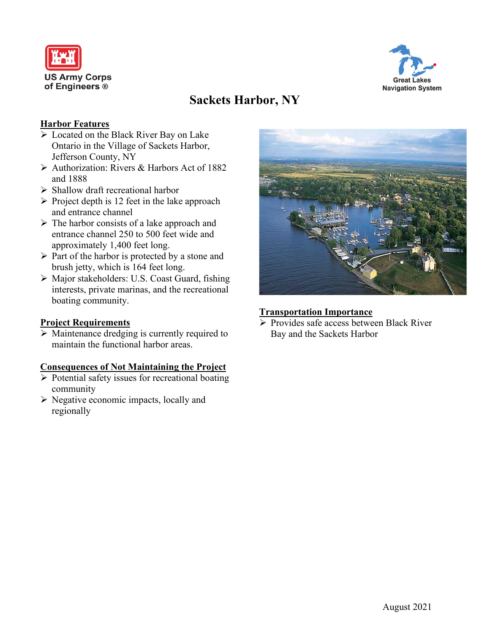



# **Sackets Harbor, NY**

### **Harbor Features**

- Located on the Black River Bay on Lake Ontario in the Village of Sackets Harbor, Jefferson County, NY
- $\triangleright$  Authorization: Rivers & Harbors Act of 1882 and 1888
- $\triangleright$  Shallow draft recreational harbor
- $\triangleright$  Project depth is 12 feet in the lake approach and entrance channel
- $\triangleright$  The harbor consists of a lake approach and entrance channel 250 to 500 feet wide and approximately 1,400 feet long.
- $\triangleright$  Part of the harbor is protected by a stone and brush jetty, which is 164 feet long.
- Major stakeholders: U.S. Coast Guard, fishing interests, private marinas, and the recreational boating community.

## **Project Requirements**

 $\triangleright$  Maintenance dredging is currently required to maintain the functional harbor areas.

#### **Consequences of Not Maintaining the Project**

- $\triangleright$  Potential safety issues for recreational boating community
- $\triangleright$  Negative economic impacts, locally and regionally



## **Transportation Importance**

 $\triangleright$  Provides safe access between Black River Bay and the Sackets Harbor